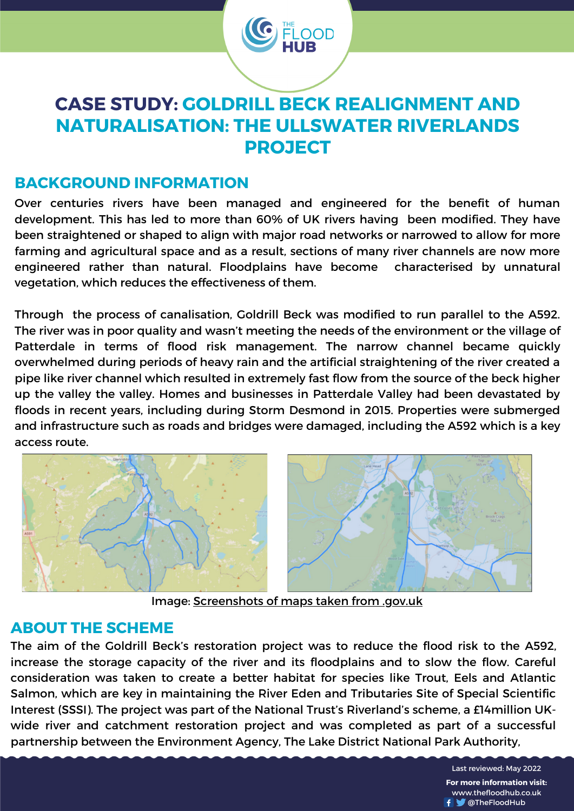

# **CASE STUDY: GOLDRILL BECK REALIGNMENT AND NATURALISATION: THE ULLSWATER RIVERLANDS PROJECT**

## **BACKGROUND INFORMATION**

Over centuries rivers have been managed and engineered for the benefit of human development. This has led to more than 60% of UK rivers having been modified. They have been straightened or shaped to align with major road networks or narrowed to allow for more farming and agricultural space and as a result, sections of many river channels are now more engineered rather than natural. Floodplains have become characterised by unnatural vegetation, which reduces the effectiveness of them.

Through the process of canalisation, Goldrill Beck was modified to run parallel to the A592. The river was in poor quality and wasn't meeting the needs of the environment or the village of Patterdale in terms of flood risk management. The narrow channel became quickly overwhelmed during periods of heavy rain and the artificial straightening of the river created a pipe like river channel which resulted in extremely fast flow from the source of the beck higher up the valley the valley. Homes and businesses in Patterdale Valley had been devastated by floods in recent years, including during Storm Desmond in 2015. Properties were submerged and infrastructure such as roads and bridges were damaged, including the A592 which is a key access route.



Image: [Screenshots](https://environment.data.gov.uk/catchment-planning/WaterBody/GB102076070700) of maps taken from .gov.uk

#### **ABOUT THE SCHEME**

The aim of the Goldrill Beck's restoration project was to reduce the flood risk to the A592, increase the storage capacity of the river and its floodplains and to slow the flow. Careful consideration was taken to create a better habitat for species like Trout, Eels and Atlantic Salmon, which are key in maintaining the River Eden and Tributaries Site of Special Scientific Interest (SSSI). The project was part of the National Trust's Riverland's scheme, a £14million UKwide river and catchment restoration project and was completed as part of a successful partnership between the Environment Agency, The Lake District National Park Authority,

> Last reviewed: May 2022 **For more information visit:** www.thefloodhub.co.uk **W** @TheFloodHub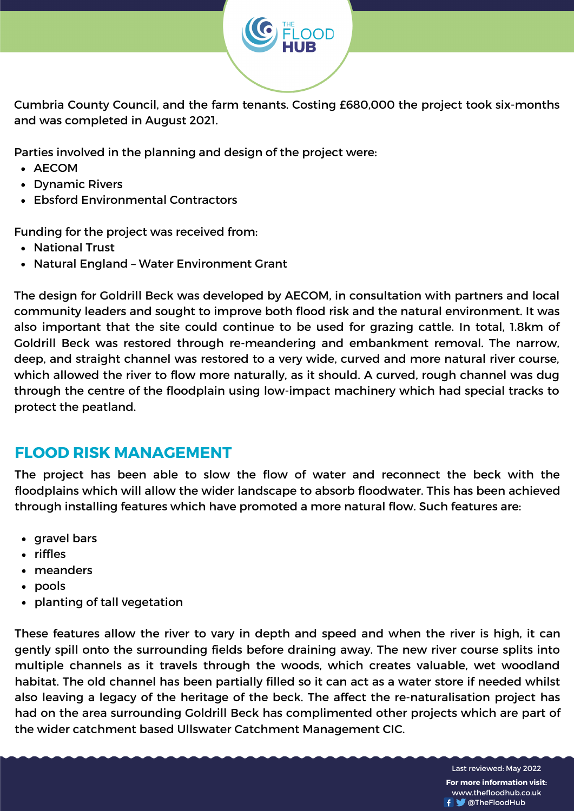

Cumbria County Council, and the farm tenants. Costing £680,000 the project took six-months and was completed in August 2021.

Parties involved in the planning and design of the project were:

- AECOM
- Dynamic Rivers
- Ebsford Environmental Contractors

Funding for the project was received from:

- National Trust
- Natural England Water Environment Grant

The design for Goldrill Beck was developed by AECOM, in consultation with partners and local community leaders and sought to improve both flood risk and the natural environment. It was also important that the site could continue to be used for grazing cattle. In total, 1.8km of Goldrill Beck was restored through re-meandering and embankment removal. The narrow, deep, and straight channel was restored to a very wide, curved and more natural river course, which allowed the river to flow more naturally, as it should. A curved, rough channel was dug through the centre of the floodplain using low-impact machinery which had special tracks to protect the peatland.

# **FLOOD RISK MANAGEMENT**

The project has been able to slow the flow of water and reconnect the beck with the floodplains which will allow the wider landscape to absorb floodwater. This has been achieved through installing features which have promoted a more natural flow. Such features are:

- gravel bars
- riffles
- meanders
- pools
- planting of tall vegetation

These features allow the river to vary in depth and speed and when the river is high, it can gently spill onto the surrounding fields before draining away. The new river course splits into multiple channels as it travels through the woods, which creates valuable, wet woodland habitat. The old channel has been partially filled so it can act as a water store if needed whilst also leaving a legacy of the heritage of the beck. The affect the re-naturalisation project has had on the area surrounding Goldrill Beck has complimented other projects which are part of the wider catchment based Ullswater Catchment Management CIC.

> Last reviewed: May 2022 **For more information visit:** www.thefloodhub.co.uk f **W** @TheFloodHub